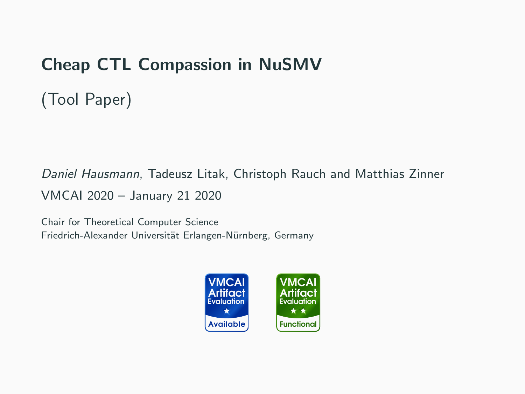# Cheap CTL Compassion in NuSMV

(Tool Paper)

Daniel Hausmann, Tadeusz Litak, Christoph Rauch and Matthias Zinner VMCAI 2020 – January 21 2020

Chair for Theoretical Computer Science Friedrich-Alexander Universität Erlangen-Nürnberg, Germany

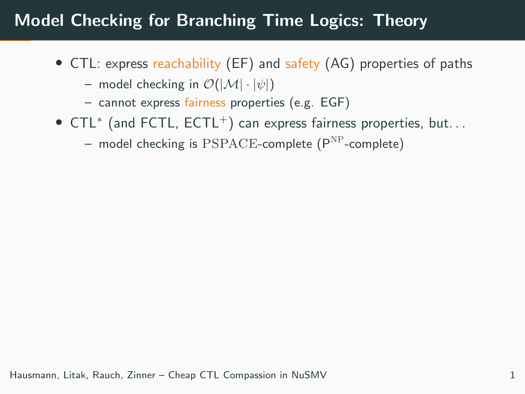# Model Checking for Branching Time Logics: Theory

- CTL: express reachability (EF) and safety (AG) properties of paths
	- model checking in  $\mathcal{O}(|\mathcal{M}| \cdot |\psi|)$
	- cannot express fairness properties (e.g. EGF)
- CTL<sup>∗</sup> (and FCTL, ECTL<sup>+</sup>) can express fairness properties, but. . .
	- model checking is  $PSPACE$ -complete  $(P<sup>NP</sup>$ -complete)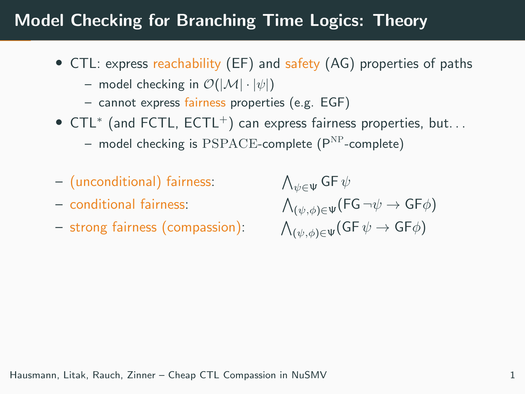# Model Checking for Branching Time Logics: Theory

- CTL: express reachability (EF) and safety (AG) properties of paths
	- model checking in  $\mathcal{O}(|\mathcal{M}| \cdot |\psi|)$
	- cannot express fairness properties (e.g. EGF)
- CTL<sup>∗</sup> (and FCTL, ECTL<sup>+</sup>) can express fairness properties, but. . .
	- $-$  model checking is PSPACE-complete ( $P^{NP}$ -complete)
- (unconditional) fairness:
- conditional fairness:
- strong fairness (compassion):

 $\bigwedge_{\psi\in \Psi}\mathsf{G}\mathsf{F}\,\psi$  $\bigwedge_{(\psi,\phi)\in \Psi}(\mathsf{FG}\,\neg\psi\rightarrow\mathsf{GF}\phi)$  $\bigwedge_{(\psi,\phi)\in \Psi}(\mathsf{GF}\,\psi\rightarrow\mathsf{GF}\phi)$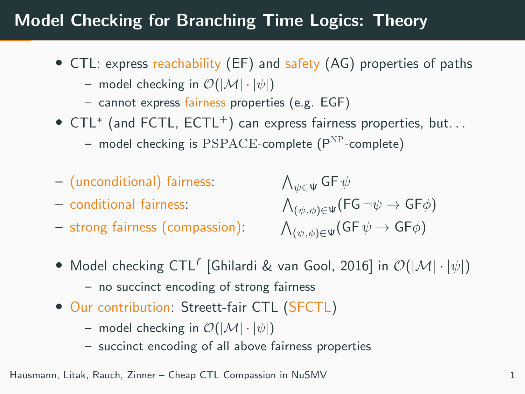# Model Checking for Branching Time Logics: Theory

- CTL: express reachability (EF) and safety (AG) properties of paths
	- model checking in  $\mathcal{O}(|\mathcal{M}| \cdot |\psi|)$
	- cannot express fairness properties (e.g. EGF)
- CTL<sup>∗</sup> (and FCTL, ECTL<sup>+</sup>) can express fairness properties, but. . .
	- $-$  model checking is PSPACE-complete ( $P^{NP}$ -complete)
- (unconditional) fairness:
- conditional fairness:
- strong fairness (compassion):

 $\bigwedge_{\psi\in \Psi}\mathsf{G}\mathsf{F}\,\psi$  $\bigwedge_{(\psi,\phi)\in \Psi}(\mathsf{FG}\,\neg\psi\rightarrow\mathsf{GF}\phi)$  $\bigwedge_{(\psi,\phi)\in \Psi}(\mathsf{GF}\,\psi\rightarrow\mathsf{GF}\phi)$ 

- Model checking  $\mathsf{CTL}^f$  [Ghilardi & van Gool, 2016] in  $\mathcal{O}(|\mathcal{M}| \cdot |\psi|)$ 
	- no succinct encoding of strong fairness
- Our contribution: Streett-fair CTL (SFCTL)
	- model checking in  $\mathcal{O}(|\mathcal{M}| \cdot |\psi|)$
	- succinct encoding of all above fairness properties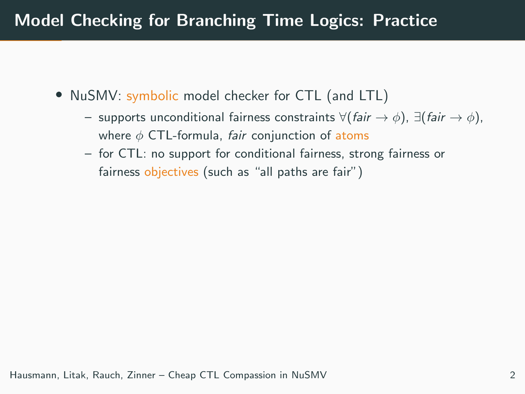# Model Checking for Branching Time Logics: Practice

- NuSMV: symbolic model checker for CTL (and LTL)
	- supports unconditional fairness constraints  $\forall$ (fair →  $\phi$ ),  $\exists$ (fair →  $\phi$ ), where  $\phi$  CTL-formula, fair conjunction of atoms
	- for CTL: no support for conditional fairness, strong fairness or fairness objectives (such as "all paths are fair")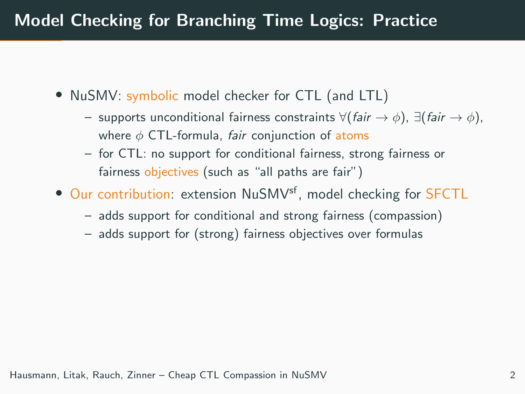# Model Checking for Branching Time Logics: Practice

- NuSMV: symbolic model checker for CTL (and LTL)
	- supports unconditional fairness constraints  $\forall$ (fair →  $\phi$ ),  $\exists$ (fair →  $\phi$ ), where  $\phi$  CTL-formula, fair conjunction of atoms
	- for CTL: no support for conditional fairness, strong fairness or fairness objectives (such as "all paths are fair")
- Our contribution: extension NuSMV<sup>sf</sup>, model checking for **SFCTL** 
	- adds support for conditional and strong fairness (compassion)
	- adds support for (strong) fairness objectives over formulas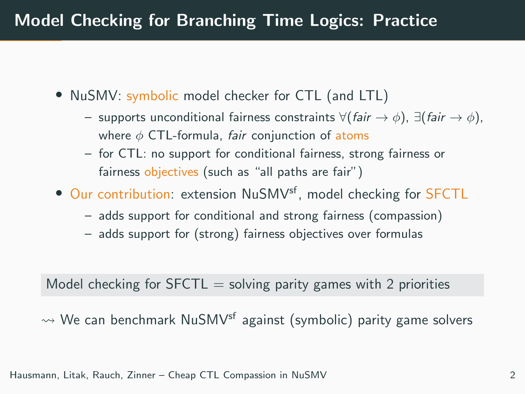# Model Checking for Branching Time Logics: Practice

- NuSMV: symbolic model checker for CTL (and LTL)
	- supports unconditional fairness constraints  $\forall$ (fair →  $\phi$ ),  $\exists$ (fair →  $\phi$ ), where  $\phi$  CTL-formula, fair conjunction of atoms
	- for CTL: no support for conditional fairness, strong fairness or fairness objectives (such as "all paths are fair")
- Our contribution: extension NuSMV<sup>sf</sup>, model checking for SFCTL
	- adds support for conditional and strong fairness (compassion)
	- adds support for (strong) fairness objectives over formulas

### Model checking for  $SFCTL =$  solving parity games with 2 priorities

 $\rightsquigarrow$  We can benchmark NuSMV<sup>sf</sup> against (symbolic) parity game solvers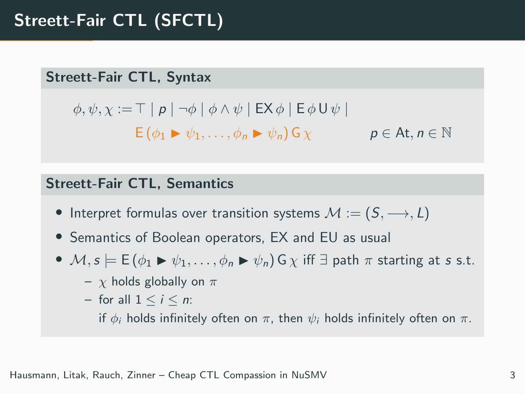#### Streett-Fair CTL, Syntax

$$
\phi, \psi, \chi := \top \mid p \mid \neg \phi \mid \phi \land \psi \mid \mathsf{EX} \phi \mid \mathsf{E} \phi \mathsf{U} \psi \mid
$$
  
 
$$
\mathsf{E}(\phi_1 \blacktriangleright \psi_1, \dots, \phi_n \blacktriangleright \psi_n) \mathsf{G} \chi \qquad p \in \mathsf{At}, n \in \mathbb{N}
$$

#### Streett-Fair CTL, Semantics

- Interpret formulas over transition systems  $M := (S, \longrightarrow, L)$
- Semantics of Boolean operators, EX and EU as usual
- $M, s \models E(\phi_1 \triangleright \psi_1, \ldots, \phi_n \triangleright \psi_n) G \chi$  iff  $\exists$  path  $\pi$  starting at s s.t.
	- $\chi$  holds globally on  $\pi$
	- for all  $1 \leq i \leq n$ :

if  $\phi_i$  holds infinitely often on  $\pi$ , then  $\psi_i$  holds infinitely often on  $\pi$ .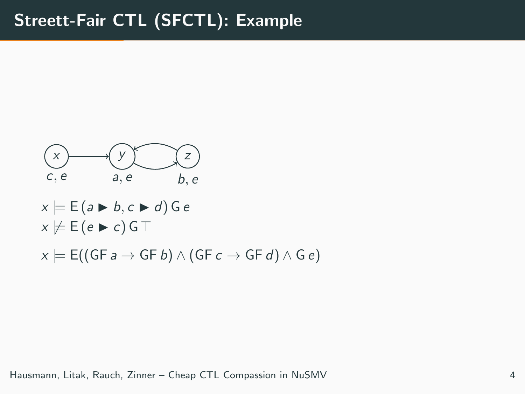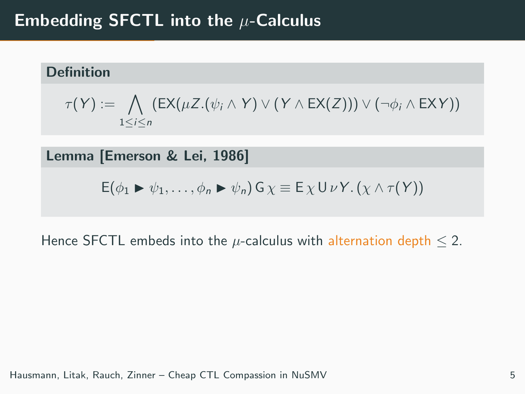# Embedding SFCTL into the  $\mu$ -Calculus

### Definition

$$
\tau(Y) := \bigwedge_{1 \leq i \leq n} (EX(\mu Z.(\psi_i \wedge Y) \vee (Y \wedge EX(Z))) \vee (\neg \phi_i \wedge EXY))
$$

Lemma [Emerson & Lei, 1986]

$$
E(\phi_1 \triangleright \psi_1, \ldots, \phi_n \triangleright \psi_n) G \chi \equiv E \chi U \nu Y. (\chi \wedge \tau(Y))
$$

Hence SFCTL embeds into the  $\mu$ -calculus with alternation depth  $\leq$  2.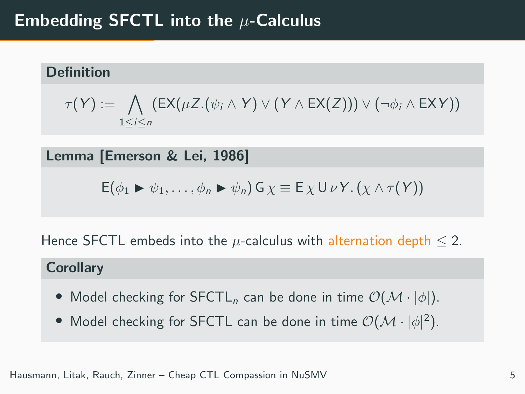# Embedding SFCTL into the  $\mu$ -Calculus

## Definition

$$
\tau(Y) := \bigwedge_{1 \leq i \leq n} (EX(\mu Z.(\psi_i \wedge Y) \vee (Y \wedge EX(Z))) \vee (\neg \phi_i \wedge EXY))
$$

Lemma [Emerson & Lei, 1986]

$$
E(\phi_1 \triangleright \psi_1, \ldots, \phi_n \triangleright \psi_n) G \chi \equiv E \chi U \nu Y. (\chi \wedge \tau(Y))
$$

Hence SFCTL embeds into the  $\mu$ -calculus with alternation depth  $\leq$  2.

#### **Corollary**

- Model checking for  $SFCTL_n$  can be done in time  $\mathcal{O}(\mathcal{M} \cdot |\phi|)$ .
- Model checking for SFCTL can be done in time  $\mathcal{O}(\mathcal{M}\cdot |\phi|^2)$ .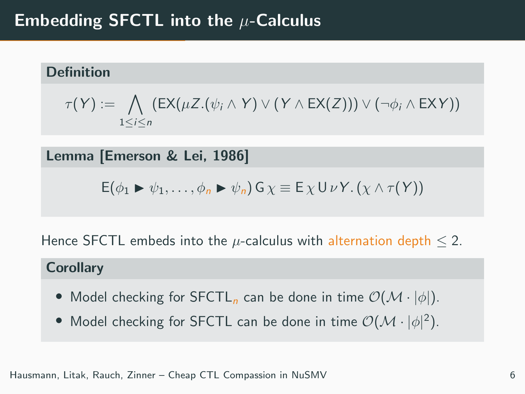# Embedding SFCTL into the  $\mu$ -Calculus

## Definition

$$
\tau(Y) := \bigwedge_{1 \leq i \leq n} (EX(\mu Z.(\psi_i \wedge Y) \vee (Y \wedge EX(Z))) \vee (\neg \phi_i \wedge EXY))
$$

Lemma [Emerson & Lei, 1986]

$$
E(\phi_1 \triangleright \psi_1, \ldots, \phi_n \triangleright \psi_n) G \chi \equiv E \chi U \nu Y. (\chi \wedge \tau(Y))
$$

Hence SFCTL embeds into the  $\mu$ -calculus with alternation depth  $\leq$  2.

#### **Corollary**

- Model checking for SFCTL<sub>n</sub> can be done in time  $\mathcal{O}(\mathcal{M} \cdot |\phi|)$ .
- Model checking for SFCTL can be done in time  $\mathcal{O}(\mathcal{M}\cdot |\phi|^2)$ .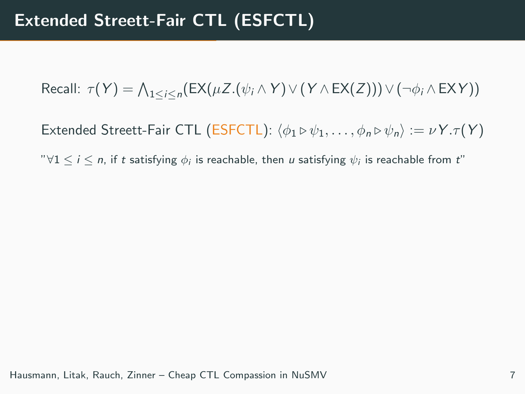Recall:  $\tau(Y) = \bigwedge_{1 \leq i \leq n} (\mathsf{EX}(\mu Z . (\psi_i \wedge Y) \vee (Y \wedge \mathsf{EX}(Z))) \vee (\neg \phi_i \wedge \mathsf{EX} Y))$ 

Extended Streett-Fair CTL (ESFCTL):  $\langle \phi_1 \triangleright \psi_1, \ldots, \phi_n \triangleright \psi_n \rangle := \nu Y \cdot \tau(Y)$ 

" $\forall 1 \leq i \leq n$ , if  $t$  satisfying  $\phi_i$  is reachable, then  $u$  satisfying  $\psi_i$  is reachable from  $t$ "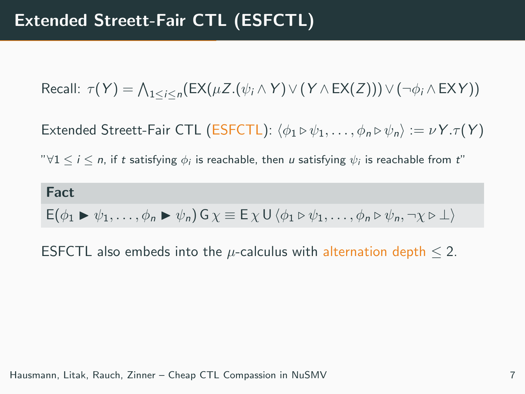Recall:  $\tau(Y) = \bigwedge_{1 \leq i \leq n} (\mathsf{EX}(\mu Z . (\psi_i \wedge Y) \vee (Y \wedge \mathsf{EX}(Z))) \vee (\neg \phi_i \wedge \mathsf{EX} Y))$ 

Extended Streett-Fair CTL (ESFCTL):  $\langle \phi_1 \triangleright \psi_1, \ldots, \phi_n \triangleright \psi_n \rangle := \nu Y \cdot \tau(Y)$ 

" $\forall 1 \leq i \leq n$ , if  $t$  satisfying  $\phi_i$  is reachable, then  $u$  satisfying  $\psi_i$  is reachable from  $t$ "

Fact  $E(\phi_1 \triangleright \psi_1, \ldots, \phi_n \triangleright \psi_n) G_Y \equiv E_Y \cup \langle \phi_1 \triangleright \psi_1, \ldots, \phi_n \triangleright \psi_n, \neg \chi \triangleright \bot \rangle$ 

ESFCTL also embeds into the  $\mu$ -calculus with alternation depth  $\leq$  2.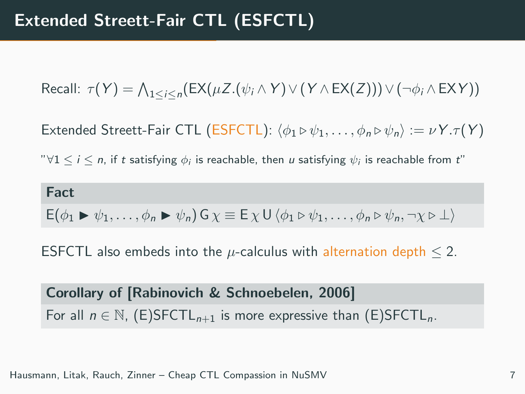Recall:  $\tau(Y) = \bigwedge_{1 \leq i \leq n} (\mathsf{EX}(\mu Z . (\psi_i \wedge Y) \vee (Y \wedge \mathsf{EX}(Z))) \vee (\neg \phi_i \wedge \mathsf{EX} Y))$ 

Extended Streett-Fair CTL (ESFCTL):  $\langle \phi_1 \triangleright \psi_1, \ldots, \phi_n \triangleright \psi_n \rangle := \nu Y \cdot \tau(Y)$ 

" $\forall 1 \leq i \leq n$ , if  $t$  satisfying  $\phi_i$  is reachable, then  $u$  satisfying  $\psi_i$  is reachable from  $t$ "

Fact  $E(\phi_1 \triangleright \psi_1, \ldots, \phi_n \triangleright \psi_n) G_Y \equiv E_Y \cup \langle \phi_1 \triangleright \psi_1, \ldots, \phi_n \triangleright \psi_n, \neg \chi \triangleright \bot \rangle$ 

ESFCTL also embeds into the  $\mu$ -calculus with alternation depth  $\leq$  2.

Corollary of [Rabinovich & Schnoebelen, 2006] For all  $n \in \mathbb{N}$ , (E)SFCTL<sub>n+1</sub> is more expressive than (E)SFCTL<sub>n</sub>.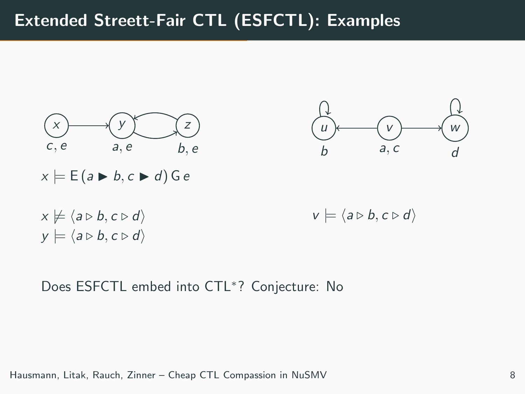# Extended Streett-Fair CTL (ESFCTL): Examples



Does ESFCTL embed into CTL<sup>∗</sup> ? Conjecture: No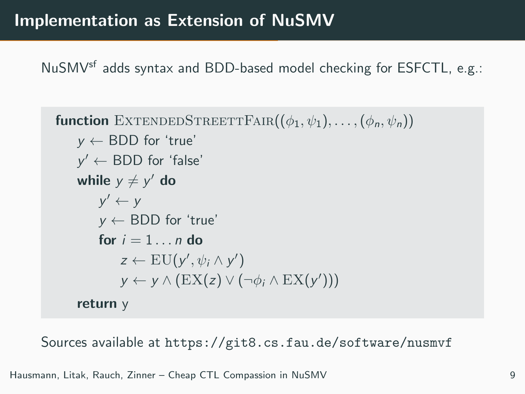NuSMV<sup>sf</sup> adds syntax and BDD-based model checking for ESFCTL, e.g.:

```
function EXTENDEDSTREETTFAIR((\phi_1, \psi_1), \ldots, (\phi_n, \psi_n))y \leftarrow BDD for 'true'
y' \leftarrow \text{BDD} for 'false'
while y \neq y' do
      y' \leftarrow yy \leftarrow BDD for 'true'
     for i = 1 n \, \text{do}z \leftarrow \mathrm{EU}(y', \psi_i \wedge y')y \leftarrow y \wedge (EX(z) \vee (\neg \phi_i \wedge EX(y')))return y
```
Sources available at <https://git8.cs.fau.de/software/nusmvf>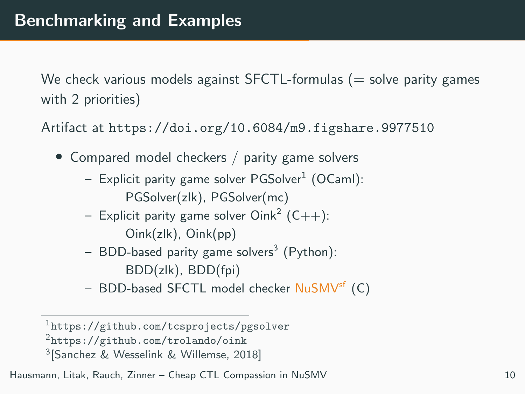We check various models against SFCTL-formulas  $(=$  solve parity games with 2 priorities)

Artifact at <https://doi.org/10.6084/m9.figshare.9977510>

- Compared model checkers / parity game solvers
	- $-$  Explicit parity game solver <code>PGSolver $^1$ </code> (OCaml): PGSolver(zlk), PGSolver(mc)
	- $-$  Explicit parity game solver Oink $^2$  (C++): Oink(zlk), Oink(pp)
	- $-$  BDD-based parity game solvers<sup>3</sup> (Python): BDD(zlk), BDD(fpi)
	- BDD-based SFCTL model checker NuSMV<sup>sf</sup> (C)

<sup>1</sup><https://github.com/tcsprojects/pgsolver>

<sup>2</sup><https://github.com/trolando/oink>

<sup>3</sup> [Sanchez & Wesselink & Willemse, 2018]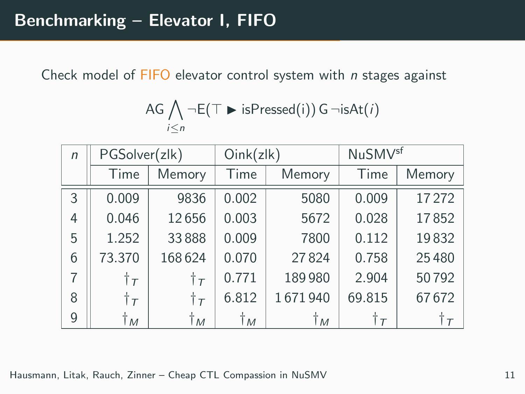Check model of FIFO elevator control system with n stages against

$$
\mathsf{AG} \bigwedge_{i \leq n} \neg \mathsf{E}(\top \blacktriangleright \mathsf{isPressed}(i)) \mathsf{G} \neg \mathsf{isAt}(i)
$$

| $\sqrt{n}$     | PGSolver(zlk)    |                  | Oink(zlk) |         | <b>NuSMV<sup>sf</sup></b> |        |
|----------------|------------------|------------------|-----------|---------|---------------------------|--------|
|                | Time             | Memory           | Time      | Memory  | Time                      | Memory |
| 3              | 0.009            | 9836             | 0.002     | 5080    | 0.009                     | 17272  |
| 4              | 0.046            | 12656            | 0.003     | 5672    | 0.028                     | 17852  |
| 5              | 1.252            | 33888            | 0.009     | 7800    | 0.112                     | 19832  |
| 6              | 73.370           | 168624           | 0.070     | 27824   | 0.758                     | 25480  |
| $\overline{7}$ | $\dagger \tau$   | $\dagger$ $\tau$ | 0.771     | 189980  | 2.904                     | 50792  |
| 8              | $\dagger$ $\tau$ | $\dagger$ $\tau$ | 6.812     | 1671940 | 69.815                    | 67672  |
| 9              | Ťм               | Ťм               | Ťм        | Ťм      | Ťτ                        | Ťτ     |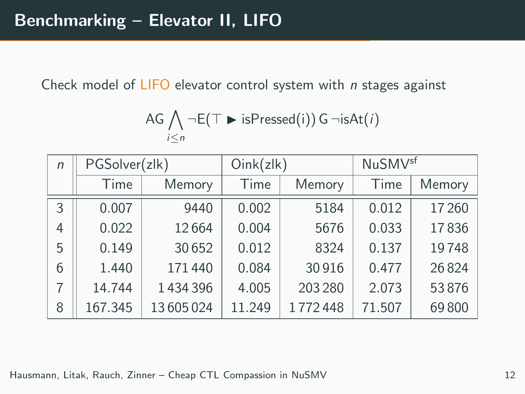Check model of  $LIFO$  elevator control system with  $n$  stages against

$$
\mathsf{AG} \bigwedge_{i \leq n} \neg \mathsf{E}(\top \blacktriangleright \mathsf{isPressed}(i)) \mathsf{G} \neg \mathsf{isAt}(i)
$$

| $\sqrt{n}$ | PGSolver(zlk) |          | Oink(zlk) |         | <b>NuSMV<sup>sf</sup></b> |        |
|------------|---------------|----------|-----------|---------|---------------------------|--------|
|            | Time          | Memory   | Time      | Memory  | Time                      | Memory |
| 3          | 0.007         | 9440     | 0.002     | 5184    | 0.012                     | 17260  |
| 4          | 0.022         | 12664    | 0.004     | 5676    | 0.033                     | 17836  |
| 5          | 0.149         | 30652    | 0.012     | 8324    | 0.137                     | 19748  |
| 6          | 1.440         | 171440   | 0.084     | 30916   | 0.477                     | 26824  |
| 7          | 14.744        | 1434396  | 4.005     | 203 280 | 2.073                     | 53876  |
| 8          | 167.345       | 13605024 | 11.249    | 1772448 | 71.507                    | 69800  |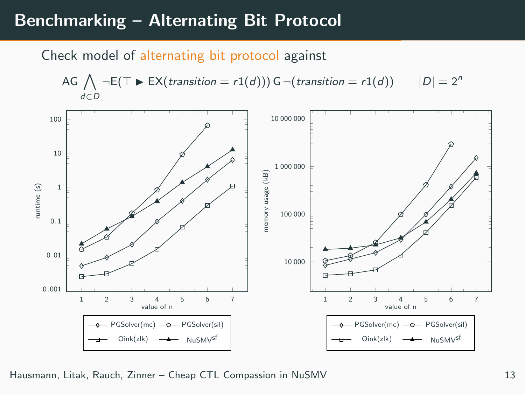## Benchmarking – Alternating Bit Protocol

#### Check model of alternating bit protocol against

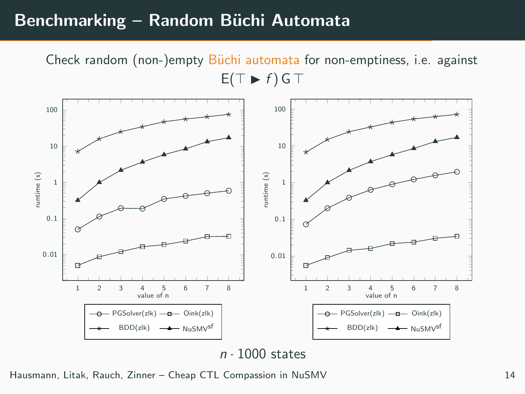## Benchmarking – Random Büchi Automata

Check random (non-)empty Büchi automata for non-emptiness, i.e. against  $E(T \triangleright f)$  G T

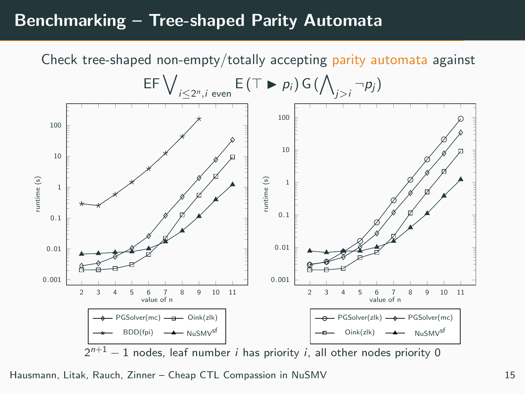## Benchmarking – Tree-shaped Parity Automata

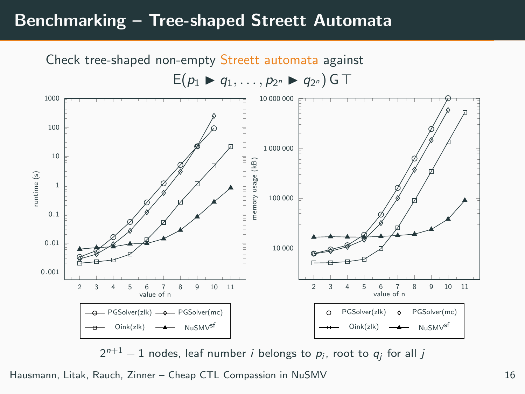## Benchmarking – Tree-shaped Streett Automata



 $2^{n+1}-1$  nodes, leaf number  $i$  belongs to  $p_i$ , root to  $q_j$  for all  $j$